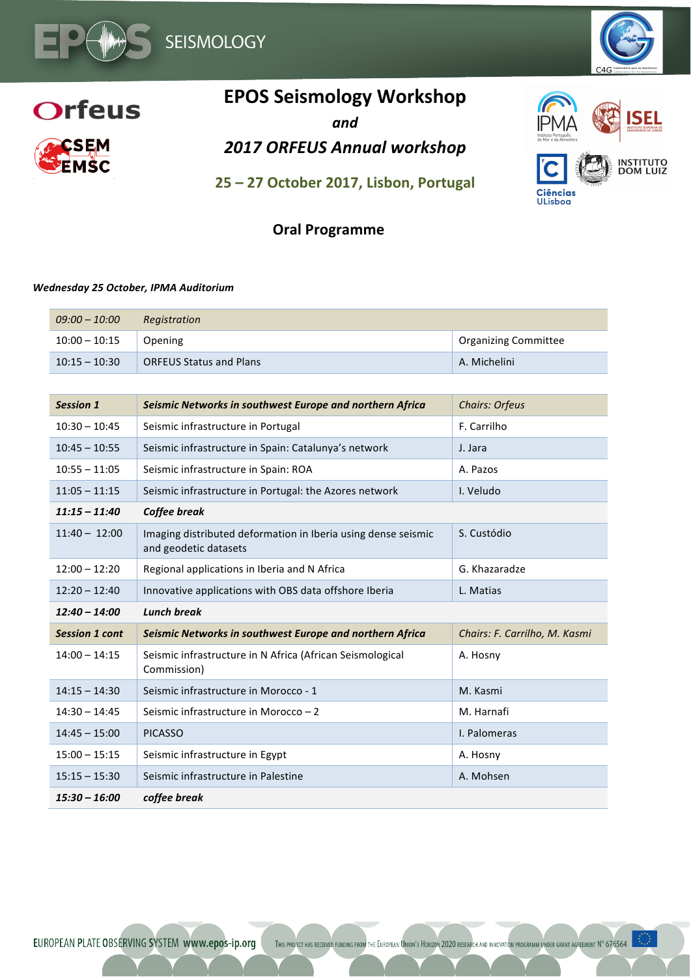

**INSTITUTO**<br>DOM LUIZ

**Ciências** ULisboa



# **EPOS Seismology Workshop**

*and*

**2017 ORFEUS Annual workshop** 

**25 – 27 October 2017, Lisbon, Portugal**

## **Oral Programme**

#### *Wednesday 25 October, IPMA Auditorium*

| 09:00 – 10:00   | Registration                   |                      |
|-----------------|--------------------------------|----------------------|
| $10:00 - 10:15$ | Opening                        | Organizing Committee |
| $10:15 - 10:30$ | <b>ORFEUS Status and Plans</b> | A. Michelini         |

| <b>Session 1</b>      | Seismic Networks in southwest Europe and northern Africa                               | <b>Chairs: Orfeus</b>         |
|-----------------------|----------------------------------------------------------------------------------------|-------------------------------|
| $10:30 - 10:45$       | Seismic infrastructure in Portugal                                                     | F. Carrilho                   |
| $10:45 - 10:55$       | Seismic infrastructure in Spain: Catalunya's network                                   | J. Jara                       |
| $10:55 - 11:05$       | Seismic infrastructure in Spain: ROA                                                   | A. Pazos                      |
| $11:05 - 11:15$       | Seismic infrastructure in Portugal: the Azores network                                 | I. Veludo                     |
| $11:15 - 11:40$       | Coffee break                                                                           |                               |
| $11:40 - 12:00$       | Imaging distributed deformation in Iberia using dense seismic<br>and geodetic datasets | S. Custódio                   |
| $12:00 - 12:20$       | Regional applications in Iberia and N Africa                                           | G. Khazaradze                 |
| $12:20 - 12:40$       | Innovative applications with OBS data offshore Iberia                                  | L. Matias                     |
|                       |                                                                                        |                               |
| $12:40 - 14:00$       | <b>Lunch break</b>                                                                     |                               |
| <b>Session 1 cont</b> | Seismic Networks in southwest Europe and northern Africa                               | Chairs: F. Carrilho, M. Kasmi |
| $14:00 - 14:15$       | Seismic infrastructure in N Africa (African Seismological<br>Commission)               | A. Hosny                      |
| $14:15 - 14:30$       | Seismic infrastructure in Morocco - 1                                                  | M. Kasmi                      |
| $14:30 - 14:45$       | Seismic infrastructure in Morocco - 2                                                  | M. Harnafi                    |
| $14:45 - 15:00$       | <b>PICASSO</b>                                                                         | I. Palomeras                  |
| $15:00 - 15:15$       | Seismic infrastructure in Egypt                                                        | A. Hosny                      |
| $15:15 - 15:30$       | Seismic infrastructure in Palestine                                                    | A. Mohsen                     |

EUROPEAN PLATE OBSERVING SYSTEM www.epos-ip.org THIS PROJECT HAS RECEIVED FUNDING FROM THE EUROPEAN UNION'S HORIZON 2020 RESEARCH AND INNOVATION PROGRAMM UNDER GRANT AGREEMENT N° 676564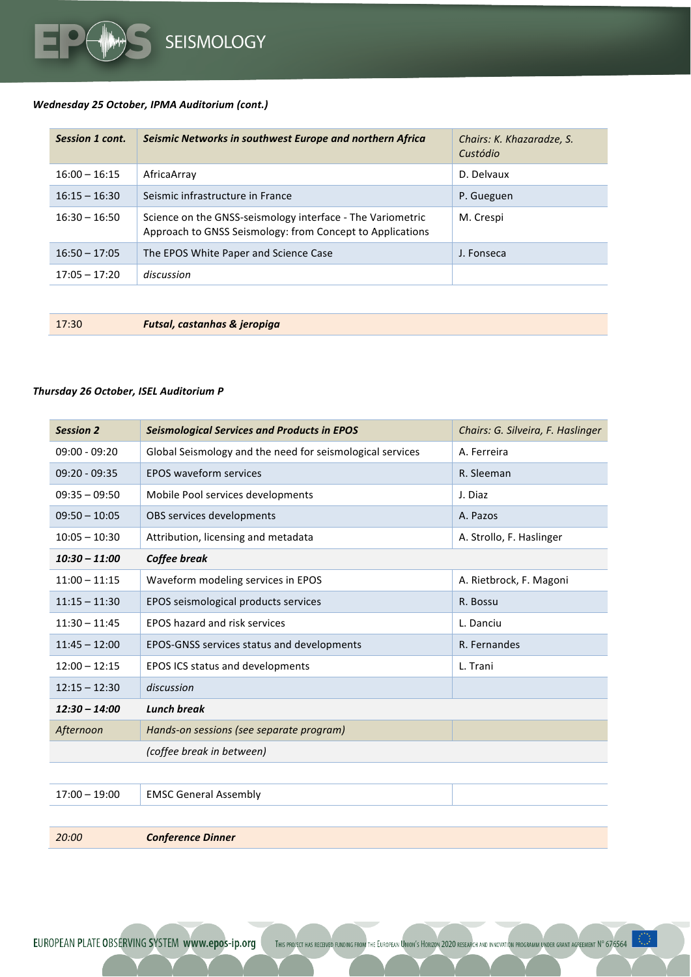

### *Wednesday 25 October, IPMA Auditorium (cont.)*

| Session 1 cont. | Seismic Networks in southwest Europe and northern Africa                                                                | Chairs: K. Khazaradze, S.<br>Custódio |
|-----------------|-------------------------------------------------------------------------------------------------------------------------|---------------------------------------|
| $16:00 - 16:15$ | AfricaArrav                                                                                                             | D. Delvaux                            |
| $16:15 - 16:30$ | Seismic infrastructure in France                                                                                        | P. Gueguen                            |
| $16:30 - 16:50$ | Science on the GNSS-seismology interface - The Variometric<br>Approach to GNSS Seismology: from Concept to Applications | M. Crespi                             |
| $16:50 - 17:05$ | The EPOS White Paper and Science Case                                                                                   | J. Fonseca                            |
| $17:05 - 17:20$ | discussion                                                                                                              |                                       |

17:30 *Futsal, castanhas & jeropiga*

#### *Thursday 26 October, ISEL Auditorium P*

| <b>Session 2</b> | <b>Seismological Services and Products in EPOS</b>        | Chairs: G. Silveira, F. Haslinger |
|------------------|-----------------------------------------------------------|-----------------------------------|
| $09:00 - 09:20$  | Global Seismology and the need for seismological services | A. Ferreira                       |
| $09:20 - 09:35$  | <b>EPOS waveform services</b>                             | R. Sleeman                        |
| $09:35 - 09:50$  | Mobile Pool services developments                         | J. Diaz                           |
| $09:50 - 10:05$  | OBS services developments                                 | A. Pazos                          |
| $10:05 - 10:30$  | Attribution, licensing and metadata                       | A. Strollo, F. Haslinger          |
| $10:30 - 11:00$  | Coffee break                                              |                                   |
| $11:00 - 11:15$  | Waveform modeling services in EPOS                        | A. Rietbrock, F. Magoni           |
| $11:15 - 11:30$  | EPOS seismological products services                      | R. Bossu                          |
| $11:30 - 11:45$  | <b>EPOS hazard and risk services</b>                      | L. Danciu                         |
| $11:45 - 12:00$  | EPOS-GNSS services status and developments                | R. Fernandes                      |
| $12:00 - 12:15$  | EPOS ICS status and developments                          | L. Trani                          |
| $12:15 - 12:30$  | discussion                                                |                                   |
| $12:30 - 14:00$  | <b>Lunch break</b>                                        |                                   |
| Afternoon        | Hands-on sessions (see separate program)                  |                                   |
|                  | (coffee break in between)                                 |                                   |
|                  |                                                           |                                   |
| $17:00 - 19:00$  | <b>EMSC General Assembly</b>                              |                                   |
|                  |                                                           |                                   |
| 20:00            | <b>Conference Dinner</b>                                  |                                   |